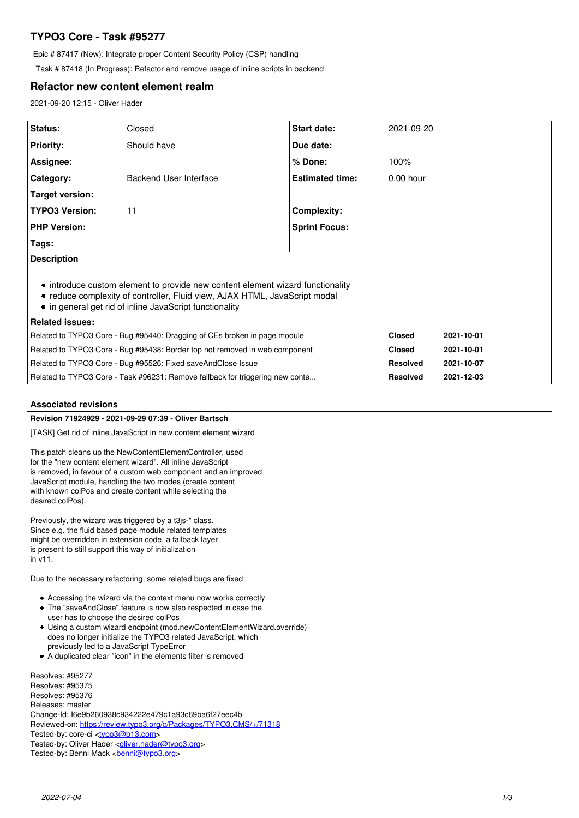# **TYPO3 Core - Task #95277**

Epic # 87417 (New): Integrate proper Content Security Policy (CSP) handling

Task # 87418 (In Progress): Refactor and remove usage of inline scripts in backend

# **Refactor new content element realm**

2021-09-20 12:15 - Oliver Hader

| Status:                                                                                                                                                                                                                 | Closed                 | Start date:            | 2021-09-20      |            |
|-------------------------------------------------------------------------------------------------------------------------------------------------------------------------------------------------------------------------|------------------------|------------------------|-----------------|------------|
| <b>Priority:</b>                                                                                                                                                                                                        | Should have            | Due date:              |                 |            |
| Assignee:                                                                                                                                                                                                               |                        | % Done:                | 100%            |            |
| Category:                                                                                                                                                                                                               | Backend User Interface | <b>Estimated time:</b> | 0.00 hour       |            |
| Target version:                                                                                                                                                                                                         |                        |                        |                 |            |
| <b>TYPO3 Version:</b>                                                                                                                                                                                                   | 11                     | <b>Complexity:</b>     |                 |            |
| <b>PHP Version:</b>                                                                                                                                                                                                     |                        | <b>Sprint Focus:</b>   |                 |            |
| Tags:                                                                                                                                                                                                                   |                        |                        |                 |            |
| <b>Description</b>                                                                                                                                                                                                      |                        |                        |                 |            |
| • introduce custom element to provide new content element wizard functionality<br>• reduce complexity of controller, Fluid view, AJAX HTML, JavaScript modal<br>• in general get rid of inline JavaScript functionality |                        |                        |                 |            |
| <b>Related issues:</b>                                                                                                                                                                                                  |                        |                        |                 |            |
| Related to TYPO3 Core - Bug #95440: Dragging of CEs broken in page module                                                                                                                                               |                        |                        | <b>Closed</b>   | 2021-10-01 |
| Related to TYPO3 Core - Bug #95438: Border top not removed in web component                                                                                                                                             |                        |                        | <b>Closed</b>   | 2021-10-01 |
| Related to TYPO3 Core - Bug #95526: Fixed saveAndClose Issue                                                                                                                                                            |                        |                        | <b>Resolved</b> | 2021-10-07 |
| Related to TYPO3 Core - Task #96231: Remove fallback for triggering new conte                                                                                                                                           |                        |                        | <b>Resolved</b> | 2021-12-03 |

# **Associated revisions**

# **Revision 71924929 - 2021-09-29 07:39 - Oliver Bartsch**

[TASK] Get rid of inline JavaScript in new content element wizard

This patch cleans up the NewContentElementController, used for the "new content element wizard". All inline JavaScript is removed, in favour of a custom web component and an improved JavaScript module, handling the two modes (create content with known colPos and create content while selecting the desired colPos).

Previously, the wizard was triggered by a t3js-\* class. Since e.g. the fluid based page module related templates might be overridden in extension code, a fallback layer is present to still support this way of initialization in v11.

Due to the necessary refactoring, some related bugs are fixed:

- Accessing the wizard via the context menu now works correctly
- The "saveAndClose" feature is now also respected in case the
- user has to choose the desired colPos
- Using a custom wizard endpoint (mod.newContentElementWizard.override) does no longer initialize the TYPO3 related JavaScript, which previously led to a JavaScript TypeError
- A duplicated clear "icon" in the elements filter is removed

Resolves: #95277 Resolves: #95375 Resolves: #95376 Releases: master Change-Id: I6e9b260938c934222e479c1a93c69ba6f27eec4b Reviewed-on:<https://review.typo3.org/c/Packages/TYPO3.CMS/+/71318> Tested-by: core-ci [<typo3@b13.com](mailto:typo3@b13.com)> Tested-by: Oliver Hader <[oliver.hader@typo3.org](mailto:oliver.hader@typo3.org)>

Tested-by: Benni Mack <br />
conni@typo3.org>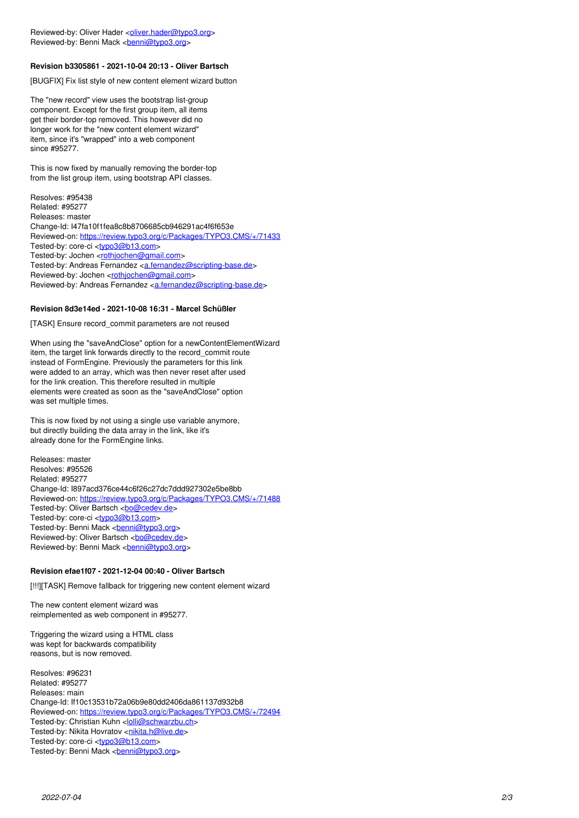### **Revision b3305861 - 2021-10-04 20:13 - Oliver Bartsch**

[BUGFIX] Fix list style of new content element wizard button

The "new record" view uses the bootstrap list-group component. Except for the first group item, all items get their border-top removed. This however did no longer work for the "new content element wizard" item, since it's "wrapped" into a web component since #95277.

This is now fixed by manually removing the border-top from the list group item, using bootstrap API classes.

Resolves: #95438 Related: #95277 Releases: master Change-Id: I47fa10f1fea8c8b8706685cb946291ac4f6f653e Reviewed-on:<https://review.typo3.org/c/Packages/TYPO3.CMS/+/71433> Tested-by: core-ci <<u>typo3@b13.com</u>> Tested-by: Jochen <<u>[rothjochen@gmail.com](mailto:rothjochen@gmail.com)</u>> Tested-by: Andreas Fernandez <<u>a.fernandez@scripting-base.de</u>> Reviewed-by: Jochen <<u>[rothjochen@gmail.com](mailto:rothjochen@gmail.com)</u>> Reviewed-by: Andreas Fernandez < a.fernandez@scripting-base.de>

#### **Revision 8d3e14ed - 2021-10-08 16:31 - Marcel Schüßler**

[TASK] Ensure record\_commit parameters are not reused

When using the "saveAndClose" option for a newContentElementWizard item, the target link forwards directly to the record\_commit route instead of FormEngine. Previously the parameters for this link were added to an array, which was then never reset after used for the link creation. This therefore resulted in multiple elements were created as soon as the "saveAndClose" option was set multiple times.

This is now fixed by not using a single use variable anymore, but directly building the data array in the link, like it's already done for the FormEngine links.

Releases: master Resolves: #95526 Related: #95277 Change-Id: I897acd376ce44c6f26c27dc7ddd927302e5be8bb Reviewed-on:<https://review.typo3.org/c/Packages/TYPO3.CMS/+/71488> Tested-by: Oliver Bartsch [<bo@cedev.de](mailto:bo@cedev.de)> Tested-by: core-ci <<u>typo3@b13.com</u>> Tested-by: Benni Mack <<u>[benni@typo3.org](mailto:benni@typo3.org)</u>> Reviewed-by: Oliver Bartsch <[bo@cedev.de](mailto:bo@cedev.de)> Reviewed-by: Benni Mack <*[benni@typo3.org](mailto:benni@typo3.org)>* 

# **Revision efae1f07 - 2021-12-04 00:40 - Oliver Bartsch**

[!!!][TASK] Remove fallback for triggering new content element wizard

The new content element wizard was reimplemented as web component in #95277.

Triggering the wizard using a HTML class was kept for backwards compatibility reasons, but is now removed.

Resolves: #96231 Related: #95277 Releases: main Change-Id: If10c13531b72a06b9e80dd2406da861137d932b8 Reviewed-on:<https://review.typo3.org/c/Packages/TYPO3.CMS/+/72494> Tested-by: Christian Kuhn < *olli@schwarzbu.ch* Tested-by: Nikita Hovratov <<u>nikita.h@live.de</u>> Tested-by: core-ci <<u>typo3@b13.com</u>> Tested-by: Benni Mack <<u>[benni@typo3.org](mailto:benni@typo3.org)</u>>